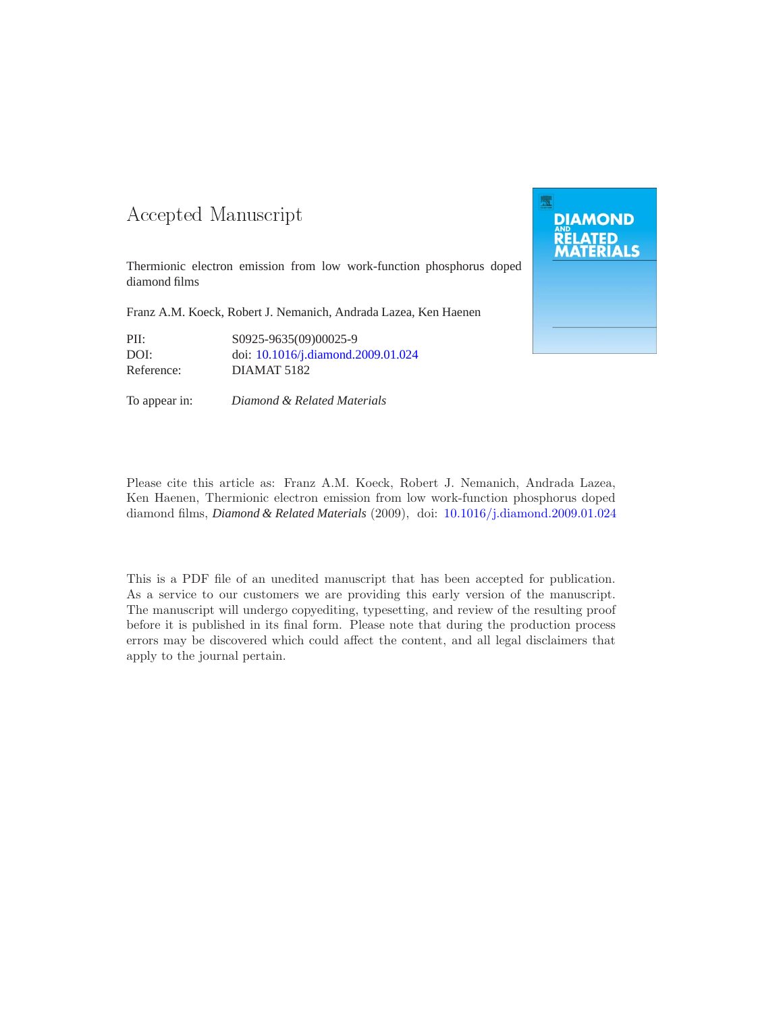#### -- -

Thermionic electron emission from low work-function phosphorus doped diamond films

Franz A.M. Koeck, Robert J. Nemanich, Andrada Lazea, Ken Haenen

PII: S0925-9635(09)00025-9 DOI: doi: [10.1016/j.diamond.2009.01.024](http://dx.doi.org/10.1016/j.diamond.2009.01.024)<br>Reference: DIAMAT 5182 DIAMAT 5182

To appear in: *Diamond & Related Materials*



Please cite this article as: Franz A.M. Koeck, Robert J. Nemanich, Andrada Lazea, Ken Haenen, Thermionic electron emission from low work-function phosphorus doped diamond films, *Diamond & Related Materials* (2009), doi: [10.1016/j.diamond.2009.01.024](http://dx.doi.org/10.1016/j.diamond.2009.01.024)

This is a PDF file of an unedited manuscript that has been accepted for publication. As a service to our customers we are providing this early version of the manuscript. The manuscript will undergo copyediting, typesetting, and review of the resulting proof before it is published in its final form. Please note that during the production process errors may be discovered which could affect the content, and all legal disclaimers that apply to the journal pertain.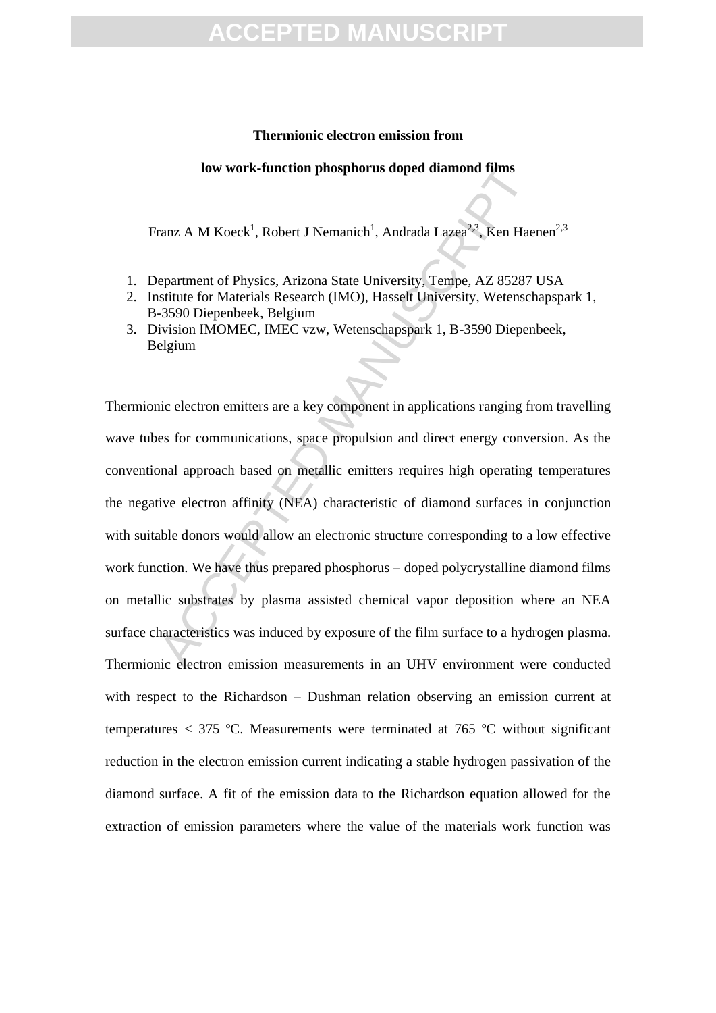## PTED M[A](http://ees.elsevier.com/diamond/viewRCResults.aspx?pdf=1&docID=3629&rev=1&fileID=98168&msid={53E47174-A700-4C5C-AB5C-85F27FA2E93F})NUS

#### **Thermionic electron emission from**

#### **low work-function phosphorus doped diamond films**

Franz A M Koeck<sup>1</sup>, Robert J Nemanich<sup>1</sup>, Andrada Lazea<sup>2,3</sup>, Ken Haenen<sup>2,3</sup>

- 1. Department of Physics, Arizona State University, Tempe, AZ 85287 USA
- 2. Institute for Materials Research (IMO), Hasselt University, Wetenschapspark 1, B-3590 Diepenbeek, Belgium
- 3. Division IMOMEC, IMEC vzw, Wetenschapspark 1, B-3590 Diepenbeek, Belgium

Iow work-function phosphorus doped diamond films<br>
ranz A M Koeck<sup>1</sup>, Robert J Nemanich<sup>1</sup>, Andrada Lazea<sup>23</sup>, Ken Hae<br>
epartment of Physics, Arizona State University, Tempe, AZ 85287<br>
sistitute for Materials Research (IMO) Thermionic electron emitters are a key component in applications ranging from travelling wave tubes for communications, space propulsion and direct energy conversion. As the conventional approach based on metallic emitters requires high operating temperatures the negative electron affinity (NEA) characteristic of diamond surfaces in conjunction with suitable donors would allow an electronic structure corresponding to a low effective work function. We have thus prepared phosphorus – doped polycrystalline diamond films on metallic substrates by plasma assisted chemical vapor deposition where an NEA surface characteristics was induced by exposure of the film surface to a hydrogen plasma. Thermionic electron emission measurements in an UHV environment were conducted with respect to the Richardson – Dushman relation observing an emission current at temperatures < 375 ºC. Measurements were terminated at 765 ºC without significant reduction in the electron emission current indicating a stable hydrogen passivation of the diamond surface. A fit of the emission data to the Richardson equation allowed for the extraction of emission parameters where the value of the materials work function was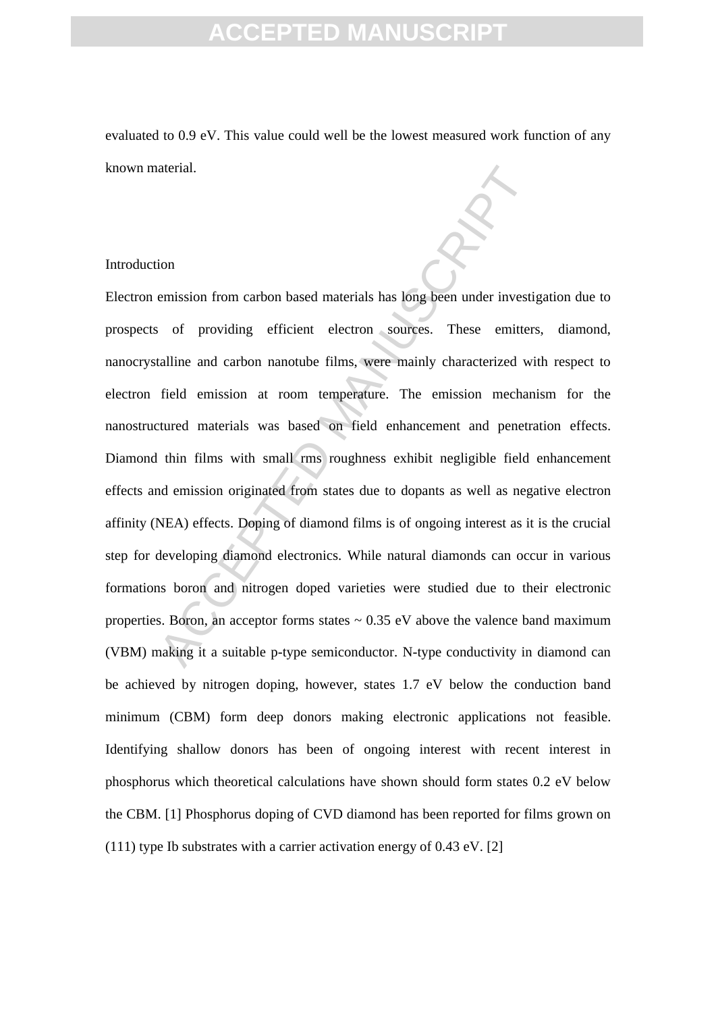evaluated to 0.9 eV. This value could well be the lowest measured work function of any known material.

#### Introduction

interial.<br>
ion<br>
ion<br>
emission from carbon based materials has long been under investi<br>
iof providing efficient electron sources. These emitter<br>
talline and carbon nanotube films, were mainly characterized wi<br>
field emissio Electron emission from carbon based materials has long been under investigation due to prospects of providing efficient electron sources. These emitters, diamond, nanocrystalline and carbon nanotube films, were mainly characterized with respect to electron field emission at room temperature. The emission mechanism for the nanostructured materials was based on field enhancement and penetration effects. Diamond thin films with small rms roughness exhibit negligible field enhancement effects and emission originated from states due to dopants as well as negative electron affinity (NEA) effects. Doping of diamond films is of ongoing interest as it is the crucial step for developing diamond electronics. While natural diamonds can occur in various formations boron and nitrogen doped varieties were studied due to their electronic properties. Boron, an acceptor forms states  $\sim 0.35$  eV above the valence band maximum (VBM) making it a suitable p-type semiconductor. N-type conductivity in diamond can be achieved by nitrogen doping, however, states 1.7 eV below the conduction band minimum (CBM) form deep donors making electronic applications not feasible. Identifying shallow donors has been of ongoing interest with recent interest in phosphorus which theoretical calculations have shown should form states 0.2 eV below the CBM. [1] Phosphorus doping of CVD diamond has been reported for films grown on (111) type Ib substrates with a carrier activation energy of 0.43 eV. [2]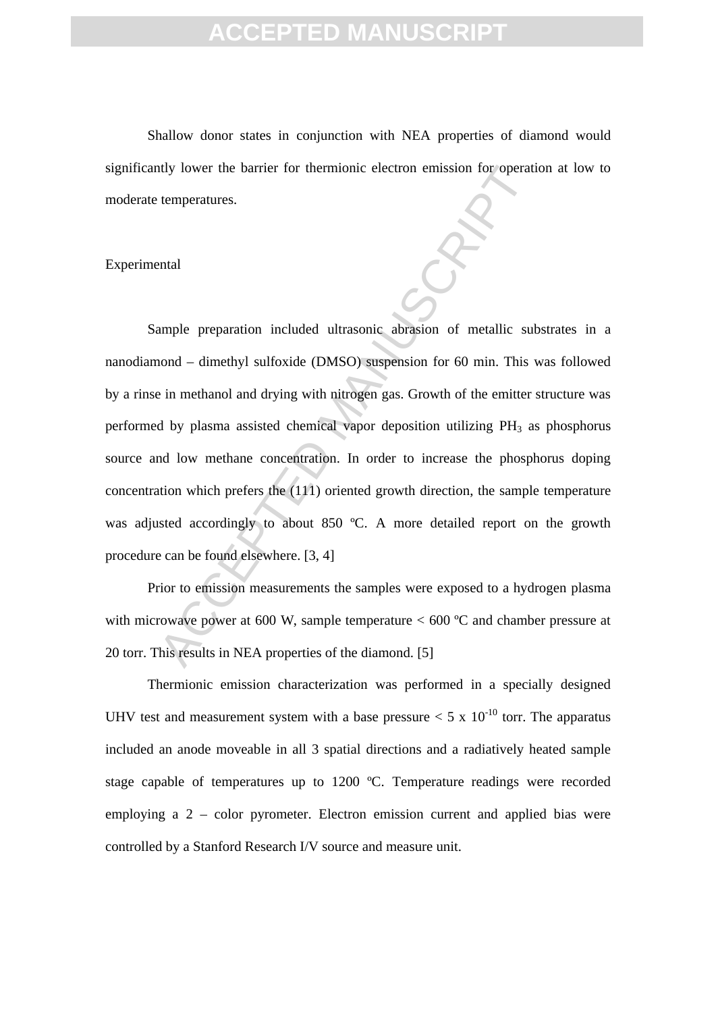Shallow donor states in conjunction with NEA properties of diamond would significantly lower the barrier for thermionic electron emission for operation at low to moderate temperatures.

#### Experimental

Multipularity lower the barrier for thermionic electron emission for operation<br>temperatures.<br>
Acceleration included ultrasonic abrasion of metallic subseminated  $-$  dimethyl sulfoxide (DMSO) suspension for 60 min. This<br>
i Sample preparation included ultrasonic abrasion of metallic substrates in a nanodiamond – dimethyl sulfoxide (DMSO) suspension for 60 min. This was followed by a rinse in methanol and drying with nitrogen gas. Growth of the emitter structure was performed by plasma assisted chemical vapor deposition utilizing PH<sub>3</sub> as phosphorus source and low methane concentration. In order to increase the phosphorus doping concentration which prefers the (111) oriented growth direction, the sample temperature was adjusted accordingly to about 850 °C. A more detailed report on the growth procedure can be found elsewhere. [3, 4]

Prior to emission measurements the samples were exposed to a hydrogen plasma with microwave power at 600 W, sample temperature  $< 600$  °C and chamber pressure at 20 torr. This results in NEA properties of the diamond. [5]

Thermionic emission characterization was performed in a specially designed UHV test and measurement system with a base pressure  $< 5 \times 10^{-10}$  torr. The apparatus included an anode moveable in all 3 spatial directions and a radiatively heated sample stage capable of temperatures up to 1200 ºC. Temperature readings were recorded employing a 2 – color pyrometer. Electron emission current and applied bias were controlled by a Stanford Research I/V source and measure unit.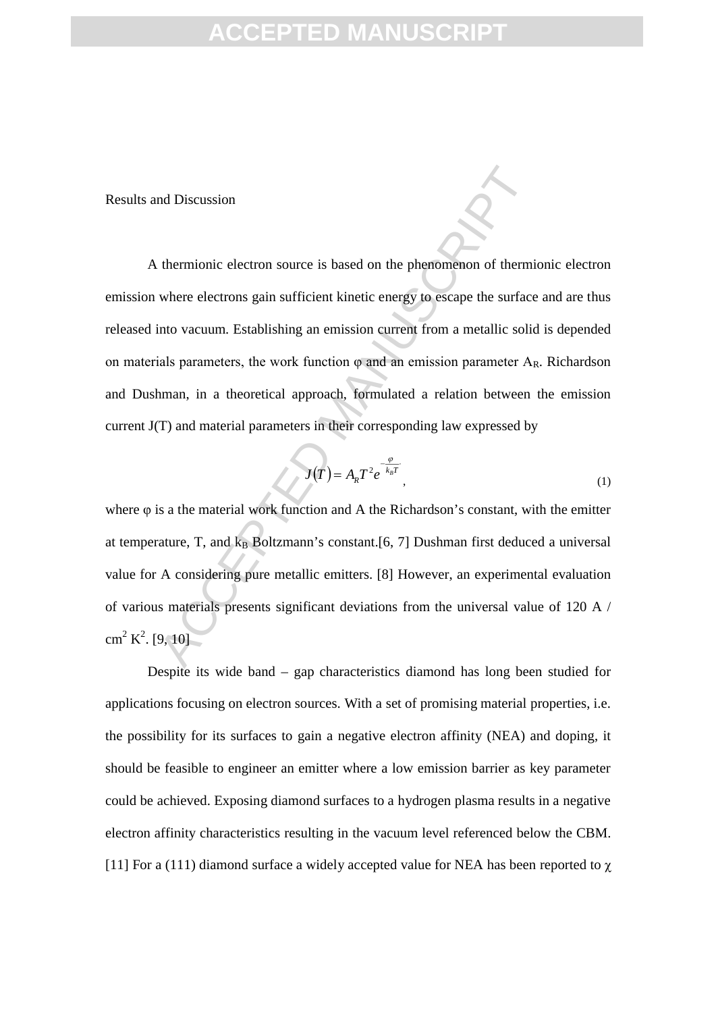Results and Discussion

nd Discussion<br>thermionic electron source is based on the phenomenon of thermi<br>where electrons gain sufficient kinetic energy to escape the surface<br>into vacuum. Establishing an emission current from a metallic solicials<br>pa A thermionic electron source is based on the phenomenon of thermionic electron emission where electrons gain sufficient kinetic energy to escape the surface and are thus released into vacuum. Establishing an emission current from a metallic solid is depended on materials parameters, the work function  $\varphi$  and an emission parameter  $A_R$ . Richardson and Dushman, in a theoretical approach, formulated a relation between the emission current J(T) and material parameters in their corresponding law expressed by

$$
J(T) = AR T2 e-\frac{\varphi}{k_B T},
$$
\n(1)

where φ is a the material work function and A the Richardson's constant, with the emitter at temperature, T, and  $k_B$  Boltzmann's constant.[6, 7] Dushman first deduced a universal value for A considering pure metallic emitters. [8] However, an experimental evaluation of various materials presents significant deviations from the universal value of 120 A /  $\text{cm}^2 \text{ K}^2$ . [9, 10]

Despite its wide band – gap characteristics diamond has long been studied for applications focusing on electron sources. With a set of promising material properties, i.e. the possibility for its surfaces to gain a negative electron affinity (NEA) and doping, it should be feasible to engineer an emitter where a low emission barrier as key parameter could be achieved. Exposing diamond surfaces to a hydrogen plasma results in a negative electron affinity characteristics resulting in the vacuum level referenced below the CBM. [11] For a (111) diamond surface a widely accepted value for NEA has been reported to  $\chi$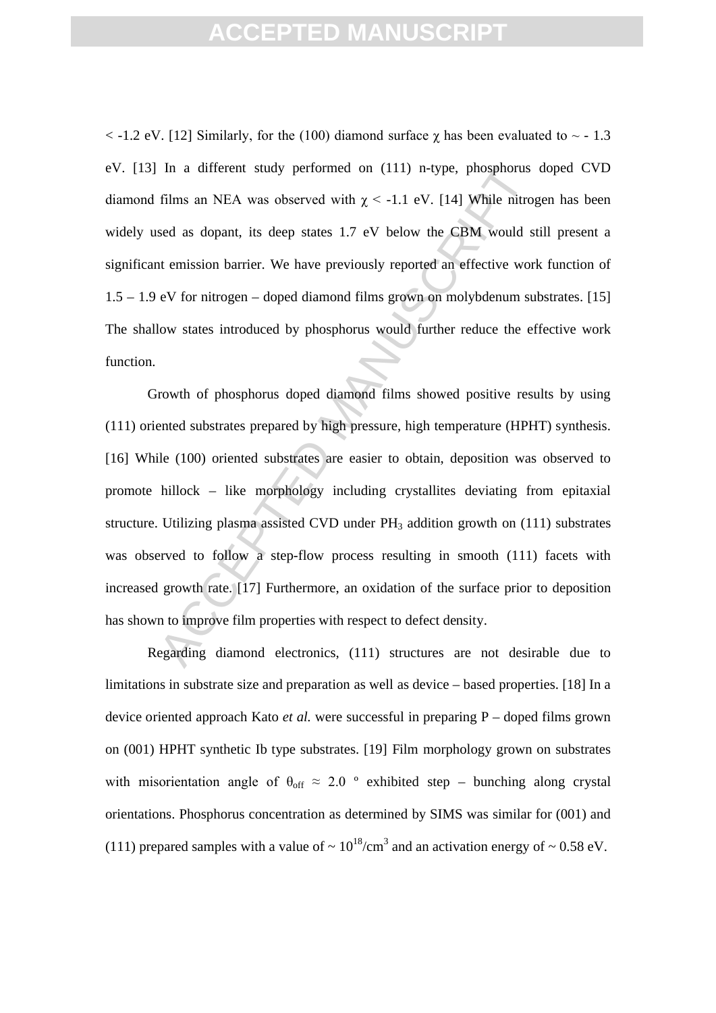$\langle$  -1.2 eV. [12] Similarly, for the (100) diamond surface  $\chi$  has been evaluated to  $\sim$  -1.3 eV. [13] In a different study performed on (111) n-type, phosphorus doped CVD diamond films an NEA was observed with  $\chi$  < -1.1 eV. [14] While nitrogen has been widely used as dopant, its deep states 1.7 eV below the CBM would still present a significant emission barrier. We have previously reported an effective work function of 1.5 – 1.9 eV for nitrogen – doped diamond films grown on molybdenum substrates. [15] The shallow states introduced by phosphorus would further reduce the effective work function.

In a different study performed on (111) n-type, phosphorus<br>films an NEA was observed with  $\chi$  < -1.1 eV. [14] While nitro<br>sed as dopant, its deep states 1.7 eV below the CBM would s<br>tt emission barrier. We have previousl Growth of phosphorus doped diamond films showed positive results by using (111) oriented substrates prepared by high pressure, high temperature (HPHT) synthesis. [16] While (100) oriented substrates are easier to obtain, deposition was observed to promote hillock – like morphology including crystallites deviating from epitaxial structure. Utilizing plasma assisted CVD under  $PH_3$  addition growth on (111) substrates was observed to follow a step-flow process resulting in smooth (111) facets with increased growth rate. [17] Furthermore, an oxidation of the surface prior to deposition has shown to improve film properties with respect to defect density.

Regarding diamond electronics, (111) structures are not desirable due to limitations in substrate size and preparation as well as device – based properties. [18] In a device oriented approach Kato *et al.* were successful in preparing P – doped films grown on (001) HPHT synthetic Ib type substrates. [19] Film morphology grown on substrates with misorientation angle of  $\theta_{\text{off}} \approx 2.0$  ° exhibited step – bunching along crystal orientations. Phosphorus concentration as determined by SIMS was similar for (001) and (111) prepared samples with a value of  $\sim 10^{18}$ /cm<sup>3</sup> and an activation energy of  $\sim 0.58$  eV.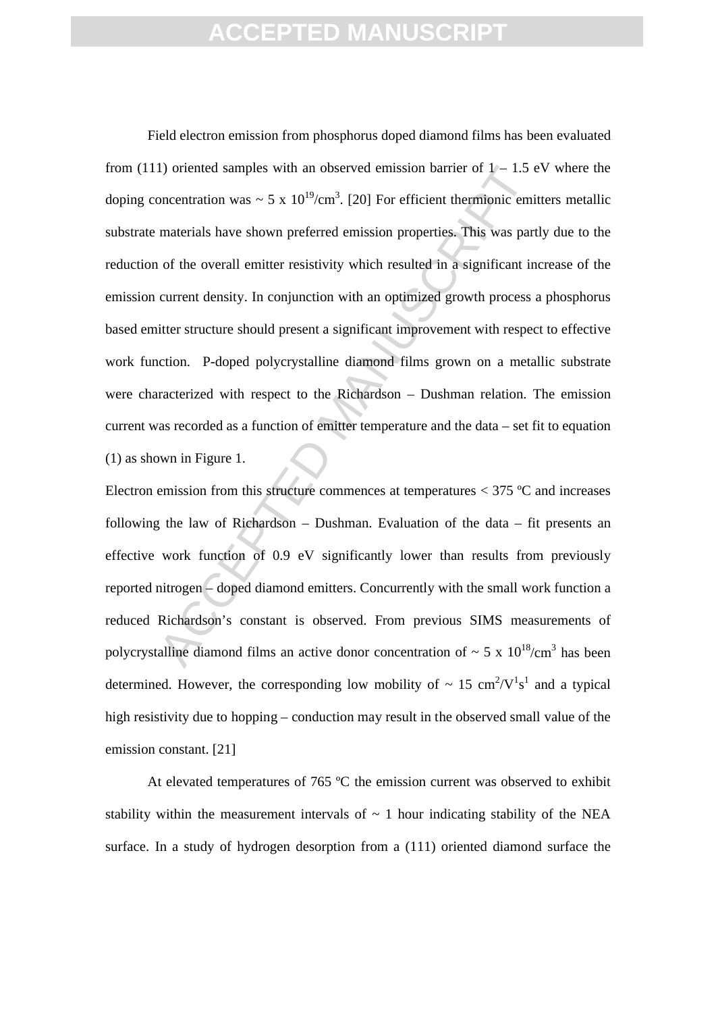1) oriented samples with an observed emission barrier of  $1 - 1.5$  exponentration was  $\sim 5 \times 10^{19}$ /cm<sup>3</sup>. [20] For efficient thermionic emimaterials have shown preferred emission properties. This was part of the overall Field electron emission from phosphorus doped diamond films has been evaluated from (111) oriented samples with an observed emission barrier of  $1 - 1.5$  eV where the doping concentration was  $\sim 5 \times 10^{19} / \text{cm}^3$ . [20] For efficient thermionic emitters metallic substrate materials have shown preferred emission properties. This was partly due to the reduction of the overall emitter resistivity which resulted in a significant increase of the emission current density. In conjunction with an optimized growth process a phosphorus based emitter structure should present a significant improvement with respect to effective work function. P-doped polycrystalline diamond films grown on a metallic substrate were characterized with respect to the Richardson – Dushman relation. The emission current was recorded as a function of emitter temperature and the data – set fit to equation (1) as shown in Figure 1.

Electron emission from this structure commences at temperatures < 375 ºC and increases following the law of Richardson – Dushman. Evaluation of the data – fit presents an effective work function of 0.9 eV significantly lower than results from previously reported nitrogen – doped diamond emitters. Concurrently with the small work function a reduced Richardson's constant is observed. From previous SIMS measurements of polycrystalline diamond films an active donor concentration of  $\sim 5 \times 10^{18}$ /cm<sup>3</sup> has been determined. However, the corresponding low mobility of  $\sim 15 \text{ cm}^2/\text{V}^1 \text{s}^1$  and a typical high resistivity due to hopping – conduction may result in the observed small value of the emission constant. [21]

At elevated temperatures of 765 °C the emission current was observed to exhibit stability within the measurement intervals of  $\sim$  1 hour indicating stability of the NEA surface. In a study of hydrogen desorption from a (111) oriented diamond surface the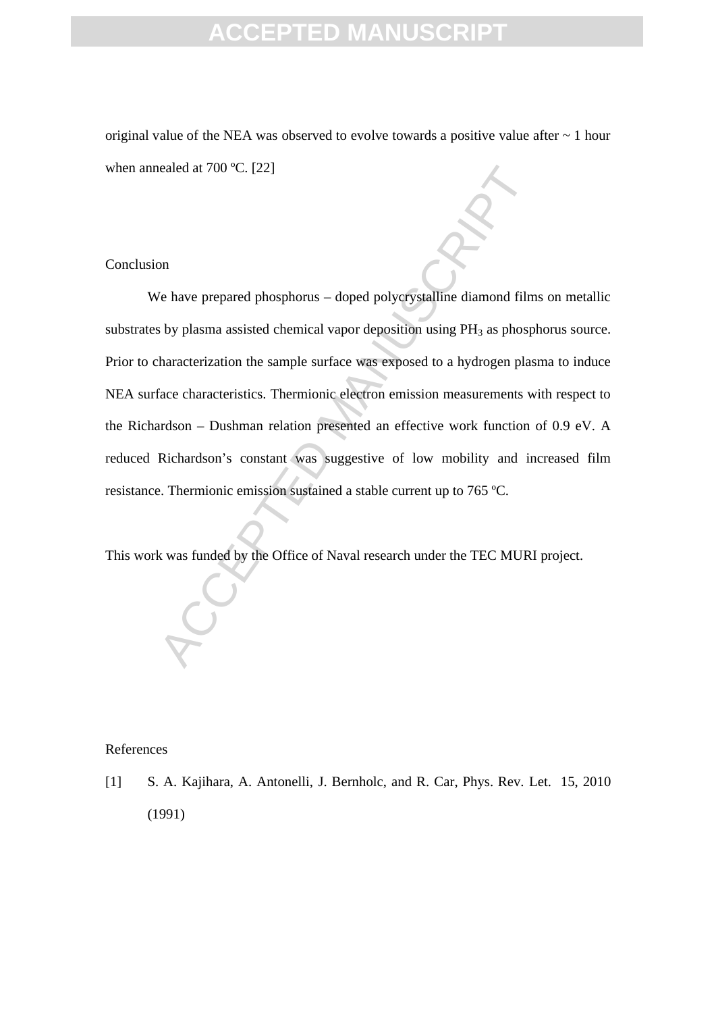original value of the NEA was observed to evolve towards a positive value after  $\sim 1$  hour when annealed at 700 ºC. [22]

#### Conclusion

or Manuscript and TOU °C. [22]<br>
Manuscript and Tourist and Tourist and Tourist and The by plasma assisted chemical vapor deposition using PH<sub>3</sub> as phosp<br>
haracterization the sample surface was exposed to a hydrogen plas<br>
f We have prepared phosphorus – doped polycrystalline diamond films on metallic substrates by plasma assisted chemical vapor deposition using  $PH_3$  as phosphorus source. Prior to characterization the sample surface was exposed to a hydrogen plasma to induce NEA surface characteristics. Thermionic electron emission measurements with respect to the Richardson – Dushman relation presented an effective work function of 0.9 eV. A reduced Richardson's constant was suggestive of low mobility and increased film resistance. Thermionic emission sustained a stable current up to 765 ºC.

This work was funded by the Office of Naval research under the TEC MURI project.

#### References

[1] S. A. Kajihara, A. Antonelli, J. Bernholc, and R. Car, Phys. Rev. Let. 15, 2010 (1991)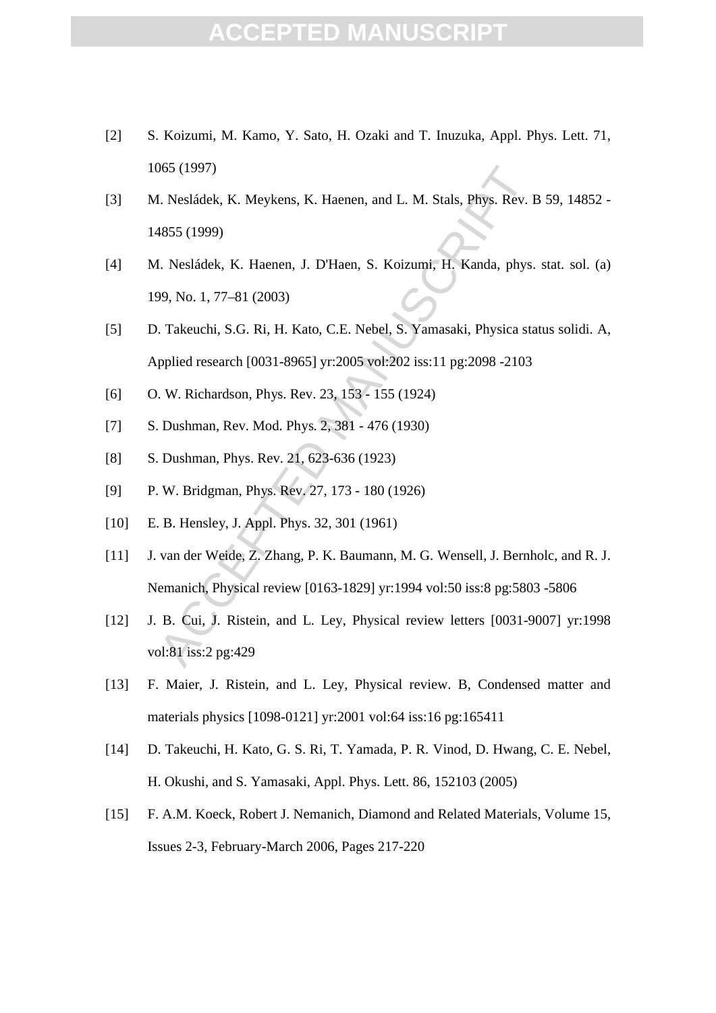### **CCEPTED MANUS**

- [2] S. Koizumi, M. Kamo, Y. Sato, H. Ozaki and T. Inuzuka, Appl. Phys. Lett. 71, 1065 (1997)
- [3] M. Nesládek, K. Meykens, K. Haenen, and L. M. Stals, Phys. Rev. B 59, 14852 14855 (1999)
- [4] M. Nesládek, K. Haenen, J. D'Haen, S. Koizumi, H. Kanda, phys. stat. sol. (a) 199, No. 1, 77–81 (2003)
- 065 (1997)<br>
1. Nesládek, K. Meykens, K. Haenen, and L. M. Stals, Phys. Rev. I<br>
1. Nesládek, K. Haenen, J. D'Haen, S. Koizumi, H. Kanda, phys.<br>
1999)<br>
1. Nesládek, K. Haenen, J. D'Haen, S. Koizumi, H. Kanda, phys.<br>
199, No. [5] D. Takeuchi, S.G. Ri, H. Kato, C.E. Nebel, S. Yamasaki, Physica status solidi. A, Applied research [0031-8965] yr:2005 vol:202 iss:11 pg:2098 -2103
- [6] O. W. Richardson, Phys. Rev. 23, 153 155 (1924)
- [7] S. Dushman, Rev. Mod. Phys. 2, 381 476 (1930)
- [8] S. Dushman, Phys. Rev. 21, 623-636 (1923)
- [9] P. W. Bridgman, Phys. Rev. 27, 173 180 (1926)
- [10] E. B. Hensley, J. Appl. Phys. 32, 301 (1961)
- [11] J. van der Weide, Z. Zhang, P. K. Baumann, M. G. Wensell, J. Bernholc, and R. J. Nemanich, Physical review [0163-1829] yr:1994 vol:50 iss:8 pg:5803 -5806
- [12] J. B. Cui, J. Ristein, and L. Ley, Physical review letters [0031-9007] yr:1998 vol:81 iss:2 pg:429
- [13] F. Maier, J. Ristein, and L. Ley, Physical review. B, Condensed matter and materials physics [1098-0121] yr:2001 vol:64 iss:16 pg:165411
- [14] D. Takeuchi, H. Kato, G. S. Ri, T. Yamada, P. R. Vinod, D. Hwang, C. E. Nebel, H. Okushi, and S. Yamasaki, Appl. Phys. Lett. 86, 152103 (2005)
- [15] F. A.M. Koeck, Robert J. Nemanich, Diamond and Related Materials, Volume 15, Issues 2-3, February-March 2006, Pages 217-220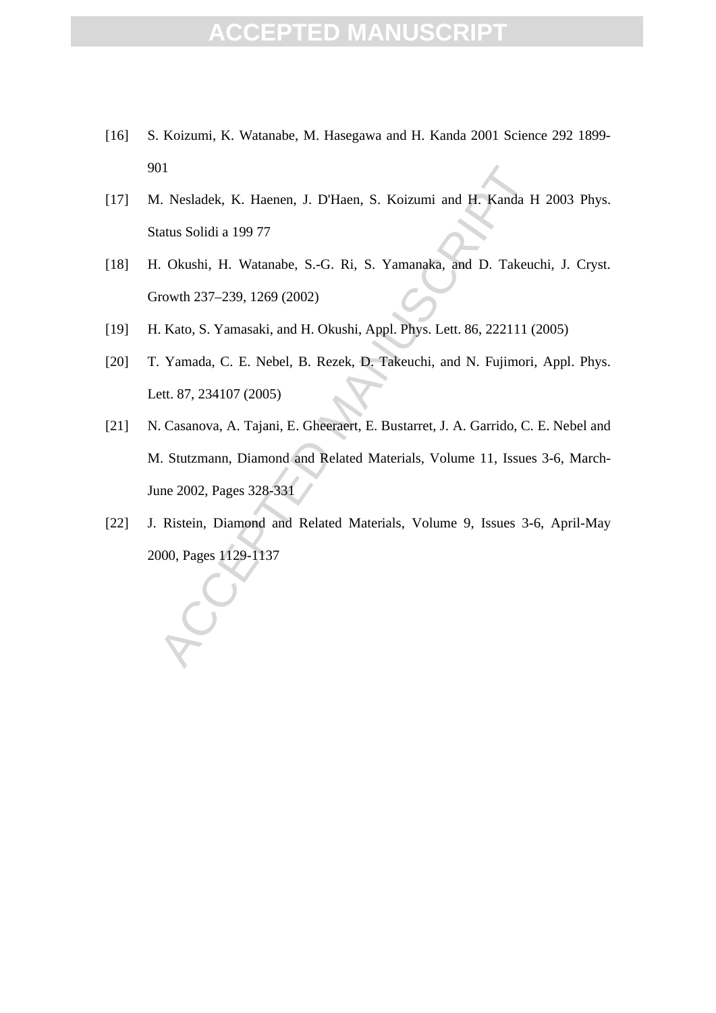- [16] S. Koizumi, K. Watanabe, M. Hasegawa and H. Kanda 2001 Science 292 1899- 901
- [17] M. Nesladek, K. Haenen, J. D'Haen, S. Koizumi and H. Kanda H 2003 Phys. Status Solidi a 199 77
- [18] H. Okushi, H. Watanabe, S.-G. Ri, S. Yamanaka, and D. Takeuchi, J. Cryst. Growth 237–239, 1269 (2002)
- [19] H. Kato, S. Yamasaki, and H. Okushi, Appl. Phys. Lett. 86, 222111 (2005)
- [20] T. Yamada, C. E. Nebel, B. Rezek, D. Takeuchi, and N. Fujimori, Appl. Phys. Lett. 87, 234107 (2005)
- 1. Nesladek, K. Haenen, J. D'Haen, S. Koizumi and H. Kanda H<br>
1. Nesladek, K. Haenen, J. D'Haen, S. Koizumi and H. Kanda H<br>
1. Okushi, H. Watanabe, S.-G. Ri, S. Yamanaka, and D. Takeu<br>
1. Kato, S. Yamasaki, and H. Okushi, [21] N. Casanova, A. Tajani, E. Gheeraert, E. Bustarret, J. A. Garrido, C. E. Nebel and M. Stutzmann, Diamond and Related Materials, Volume 11, Issues 3-6, March-June 2002, Pages 328-331
- [22] J. Ristein, Diamond and Related Materials, Volume 9, Issues 3-6, April-May 2000, Pages 1129-1137